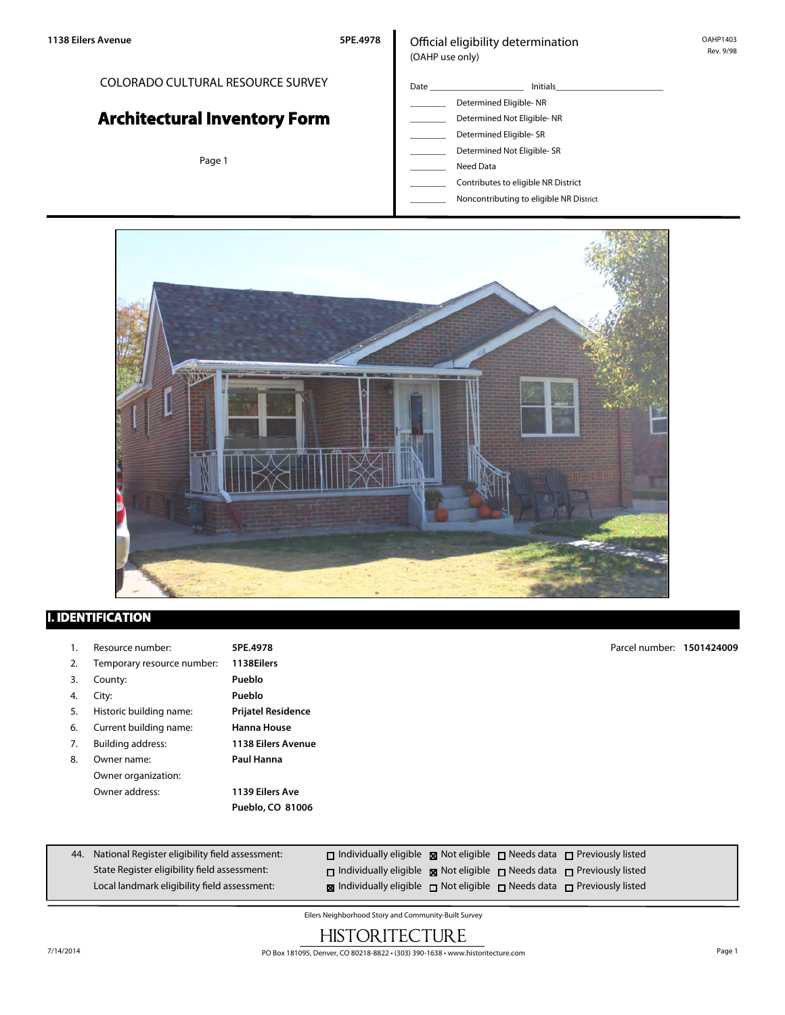# COLORADO CULTURAL RESOURCE SURVEY **Architectural Inventory Form**

Page 1

| Date | Initials                   |
|------|----------------------------|
|      | Determined Eligible-NR     |
|      | Determined Not Eligible-NR |
|      | Determined Eligible-SR     |
|      | Determined Not Eligible-SR |
|      | Need Data                  |

\_\_\_\_\_\_\_\_ Contributes to eligible NR District



## **I. IDENTIFICATION**

|    | Resource number:           | 5PE.4978                  | Parcel number: 1501424009 |  |
|----|----------------------------|---------------------------|---------------------------|--|
| 2. | Temporary resource number: | 1138Eilers                |                           |  |
| 3. | County:                    | Pueblo                    |                           |  |
| 4. | City:                      | Pueblo                    |                           |  |
| 5. | Historic building name:    | <b>Prijatel Residence</b> |                           |  |
| 6. | Current building name:     | <b>Hanna House</b>        |                           |  |
| 7. | <b>Building address:</b>   | <b>1138 Eilers Avenue</b> |                           |  |
| 8. | Owner name:                | Paul Hanna                |                           |  |
|    | Owner organization:        |                           |                           |  |
|    | Owner address:             | 1139 Eilers Ave           |                           |  |
|    |                            | Pueblo, CO 81006          |                           |  |
|    |                            |                           |                           |  |
|    |                            |                           |                           |  |

| 44. National Register eligibility field assessment: | $\Box$ Individually eligible $\boxtimes$ Not eligible $\Box$ Needs data $\Box$ Previously listed |  |  |
|-----------------------------------------------------|--------------------------------------------------------------------------------------------------|--|--|
| State Register eligibility field assessment:        | $\Box$ Individually eligible $\Box$ Not eligible $\Box$ Needs data $\Box$ Previously listed      |  |  |
| Local landmark eligibility field assessment:        | <b>x</b> Individually eligible $\Box$ Not eligible $\Box$ Needs data $\Box$ Previously listed    |  |  |

Eilers Neighborhood Story and Community-Built Survey

# **HISTORITECTURE**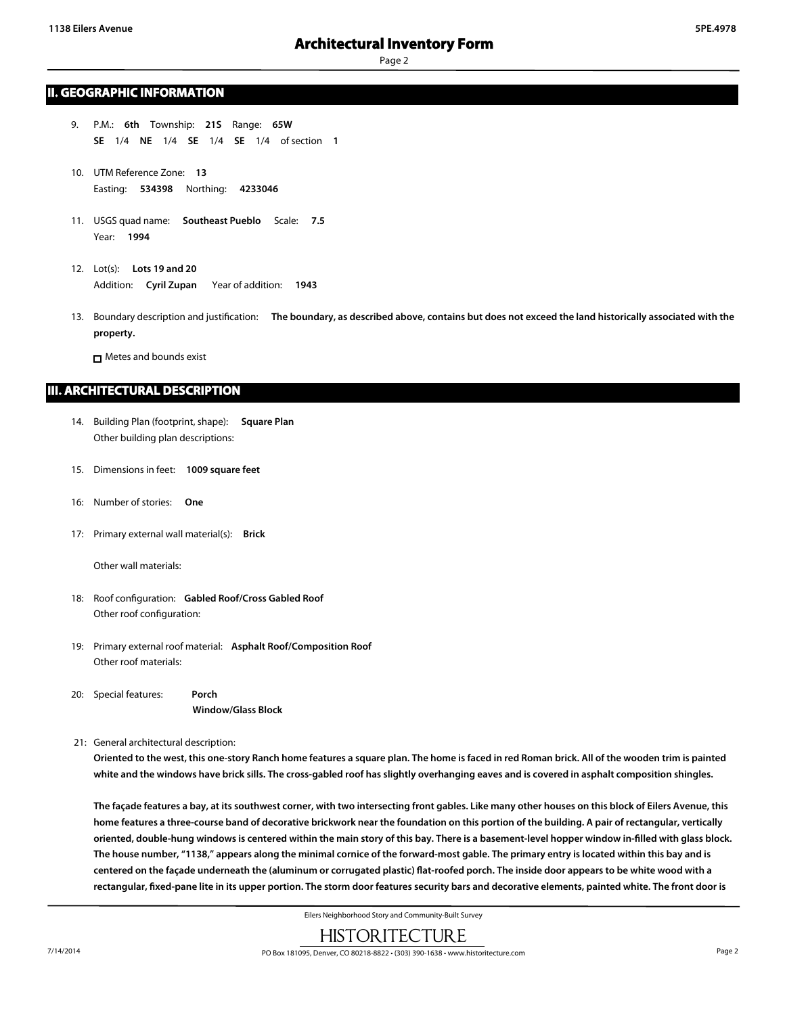Page 2

### **II. GEOGRAPHIC INFORMATION**

- 9. P.M.: **6th** Township: **21S** Range: **65W SE** 1/4 **NE** 1/4 **SE** 1/4 **SE** 1/4 of section **1**
- 10. UTM Reference Zone: **13** Easting: **534398** Northing: **4233046**
- 11. USGS quad name: **Southeast Pueblo** Scale: **7.5** Year: **1994**
- 12. Lot(s): **Lots 19 and 20** Addition: **Cyril Zupan** Year of addition: **1943**
- 13. Boundary description and justification: **The boundary, as described above, contains but does not exceed the land historically associated with the property.**

Metes and bounds exist

### **III. ARCHITECTURAL DESCRIPTION**

- 14. Building Plan (footprint, shape): **Square Plan** Other building plan descriptions:
- 15. Dimensions in feet: **1009 square feet**
- 16: Number of stories: **One**
- 17: Primary external wall material(s): **Brick**

Other wall materials:

- 18: Roof configuration: **Gabled Roof/Cross Gabled Roof** Other roof configuration:
- 19: Primary external roof material: **Asphalt Roof/Composition Roof** Other roof materials:
- 20: Special features: **Porch Window/Glass Block**
- 21: General architectural description:

**Oriented to the west, this one-story Ranch home features a square plan. The home is faced in red Roman brick. All of the wooden trim is painted white and the windows have brick sills. The cross-gabled roof has slightly overhanging eaves and is covered in asphalt composition shingles.**

**The façade features a bay, at its southwest corner, with two intersecting front gables. Like many other houses on this block of Eilers Avenue, this home features a three-course band of decorative brickwork near the foundation on this portion of the building. A pair of rectangular, vertically oriented, double-hung windows is centered within the main story of this bay. There is a basement-level hopper window in-filled with glass block. The house number, "1138," appears along the minimal cornice of the forward-most gable. The primary entry is located within this bay and is centered on the façade underneath the (aluminum or corrugated plastic) flat-roofed porch. The inside door appears to be white wood with a rectangular, fixed-pane lite in its upper portion. The storm door features security bars and decorative elements, painted white. The front door is**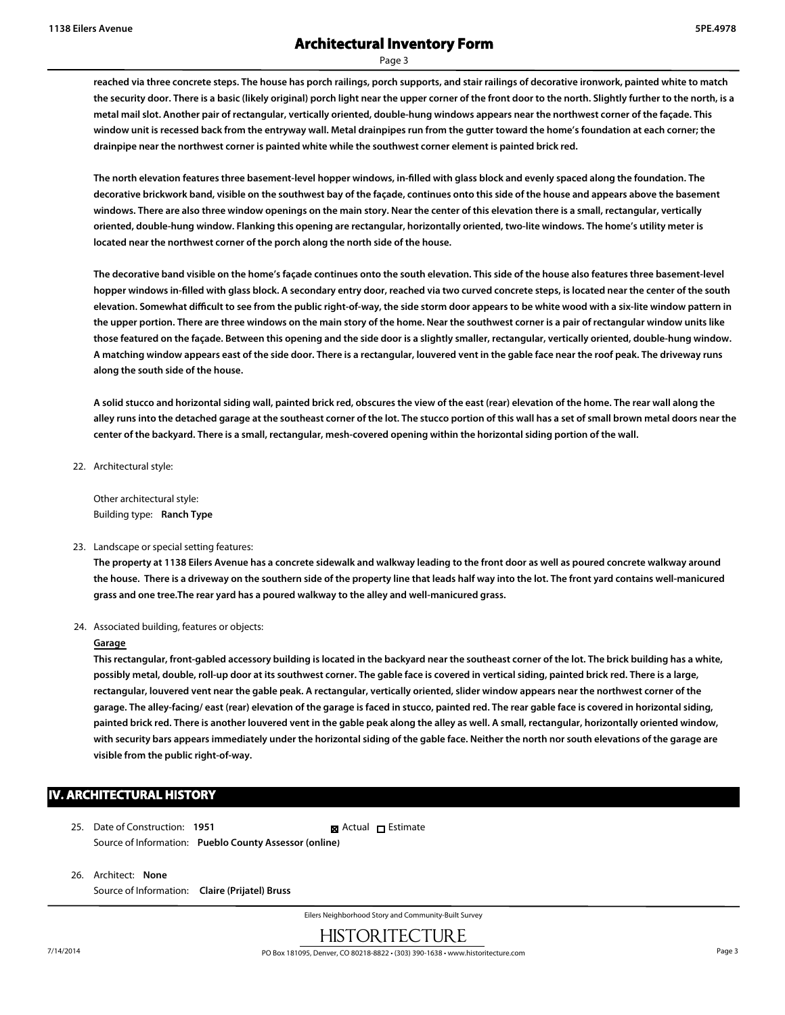Page 3

**reached via three concrete steps. The house has porch railings, porch supports, and stair railings of decorative ironwork, painted white to match the security door. There is a basic (likely original) porch light near the upper corner of the front door to the north. Slightly further to the north, is a metal mail slot. Another pair of rectangular, vertically oriented, double-hung windows appears near the northwest corner of the façade. This window unit is recessed back from the entryway wall. Metal drainpipes run from the gutter toward the home's foundation at each corner; the drainpipe near the northwest corner is painted white while the southwest corner element is painted brick red.**

**The north elevation features three basement-level hopper windows, in-filled with glass block and evenly spaced along the foundation. The decorative brickwork band, visible on the southwest bay of the façade, continues onto this side of the house and appears above the basement windows. There are also three window openings on the main story. Near the center of this elevation there is a small, rectangular, vertically oriented, double-hung window. Flanking this opening are rectangular, horizontally oriented, two-lite windows. The home's utility meter is located near the northwest corner of the porch along the north side of the house.**

**The decorative band visible on the home's façade continues onto the south elevation. This side of the house also features three basement-level hopper windows in-filled with glass block. A secondary entry door, reached via two curved concrete steps, is located near the center of the south elevation. Somewhat difficult to see from the public right-of-way, the side storm door appears to be white wood with a six-lite window pattern in the upper portion. There are three windows on the main story of the home. Near the southwest corner is a pair of rectangular window units like those featured on the façade. Between this opening and the side door is a slightly smaller, rectangular, vertically oriented, double-hung window. A matching window appears east of the side door. There is a rectangular, louvered vent in the gable face near the roof peak. The driveway runs along the south side of the house.**

**A solid stucco and horizontal siding wall, painted brick red, obscures the view of the east (rear) elevation of the home. The rear wall along the alley runs into the detached garage at the southeast corner of the lot. The stucco portion of this wall has a set of small brown metal doors near the center of the backyard. There is a small, rectangular, mesh-covered opening within the horizontal siding portion of the wall.**

22. Architectural style:

Other architectural style: Building type: **Ranch Type**

#### 23. Landscape or special setting features:

**The property at 1138 Eilers Avenue has a concrete sidewalk and walkway leading to the front door as well as poured concrete walkway around the house. There is a driveway on the southern side of the property line that leads half way into the lot. The front yard contains well-manicured grass and one tree.The rear yard has a poured walkway to the alley and well-manicured grass.**

24. Associated building, features or objects:

#### **Garage**

**This rectangular, front-gabled accessory building is located in the backyard near the southeast corner of the lot. The brick building has a white, possibly metal, double, roll-up door at its southwest corner. The gable face is covered in vertical siding, painted brick red. There is a large, rectangular, louvered vent near the gable peak. A rectangular, vertically oriented, slider window appears near the northwest corner of the garage. The alley-facing/ east (rear) elevation of the garage is faced in stucco, painted red. The rear gable face is covered in horizontal siding, painted brick red. There is another louvered vent in the gable peak along the alley as well. A small, rectangular, horizontally oriented window, with security bars appears immediately under the horizontal siding of the gable face. Neither the north nor south elevations of the garage are visible from the public right-of-way.**

## **IV. ARCHITECTURAL HISTORY**

- 25. Date of Construction: **1951** Source of Information: **Pueblo County Assessor (online) R** Actual □ Estimate
- 26. Architect: **None** Source of Information: **Claire (Prijatel) Bruss**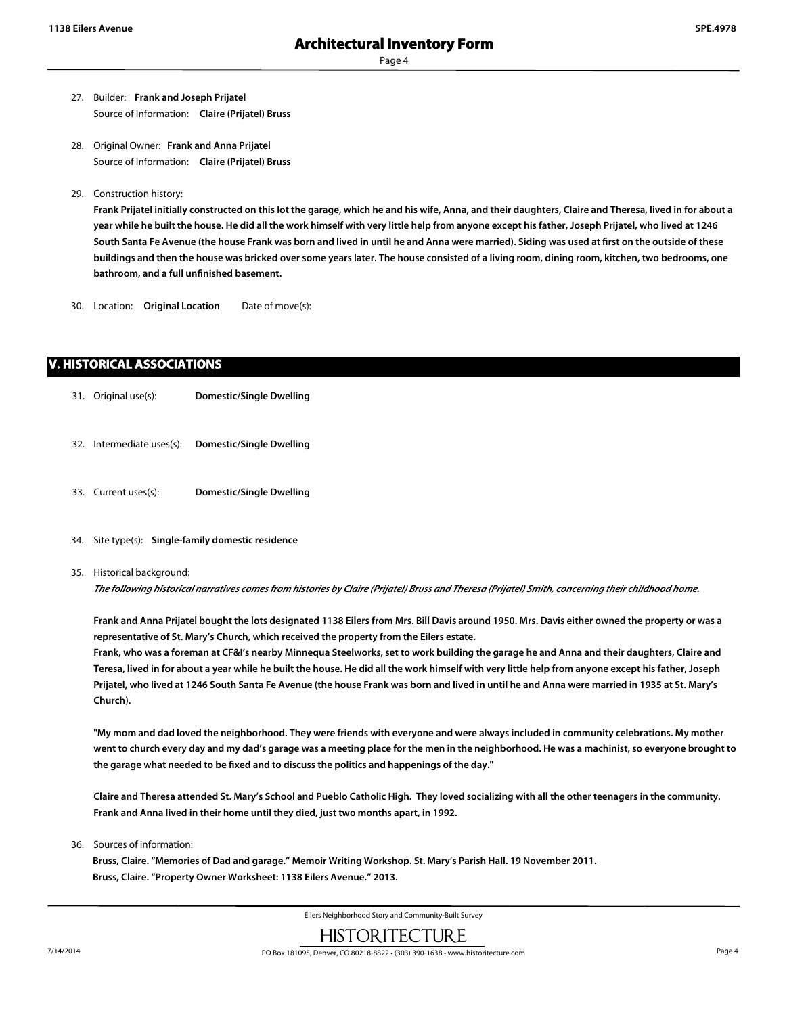Page 4

- 27. Builder: **Frank and Joseph Prijatel** Source of Information: **Claire (Prijatel) Bruss**
- 28. Original Owner: **Frank and Anna Prijatel** Source of Information: **Claire (Prijatel) Bruss**
- 29. Construction history:

**Frank Prijatel initially constructed on this lot the garage, which he and his wife, Anna, and their daughters, Claire and Theresa, lived in for about a year while he built the house. He did all the work himself with very little help from anyone except his father, Joseph Prijatel, who lived at 1246 South Santa Fe Avenue (the house Frank was born and lived in until he and Anna were married). Siding was used at first on the outside of these buildings and then the house was bricked over some years later. The house consisted of a living room, dining room, kitchen, two bedrooms, one bathroom, and a full unfinished basement.**

30. Location: **Original Location** Date of move(s):

## **V. HISTORICAL ASSOCIATIONS**

- 31. Original use(s): **Domestic/Single Dwelling**
- 32. Intermediate uses(s): **Domestic/Single Dwelling**
- 33. Current uses(s): **Domestic/Single Dwelling**
- 34. Site type(s): **Single-family domestic residence**

#### 35. Historical background:

*The following historical narratives comes from histories by Claire (Prijatel) Bruss and Theresa (Prijatel) Smith, concerning their childhood home.*

**Frank and Anna Prijatel bought the lots designated 1138 Eilers from Mrs. Bill Davis around 1950. Mrs. Davis either owned the property or was a representative of St. Mary's Church, which received the property from the Eilers estate.**

**Frank, who was a foreman at CF&I's nearby Minnequa Steelworks, set to work building the garage he and Anna and their daughters, Claire and Teresa, lived in for about a year while he built the house. He did all the work himself with very little help from anyone except his father, Joseph Prijatel, who lived at 1246 South Santa Fe Avenue (the house Frank was born and lived in until he and Anna were married in 1935 at St. Mary's Church).**

**"My mom and dad loved the neighborhood. They were friends with everyone and were always included in community celebrations. My mother went to church every day and my dad's garage was a meeting place for the men in the neighborhood. He was a machinist, so everyone brought to the garage what needed to be fixed and to discuss the politics and happenings of the day."**

**Claire and Theresa attended St. Mary's School and Pueblo Catholic High. They loved socializing with all the other teenagers in the community. Frank and Anna lived in their home until they died, just two months apart, in 1992.**

36. Sources of information:

**Bruss, Claire. "Memories of Dad and garage." Memoir Writing Workshop. St. Mary's Parish Hall. 19 November 2011. Bruss, Claire. "Property Owner Worksheet: 1138 Eilers Avenue." 2013.**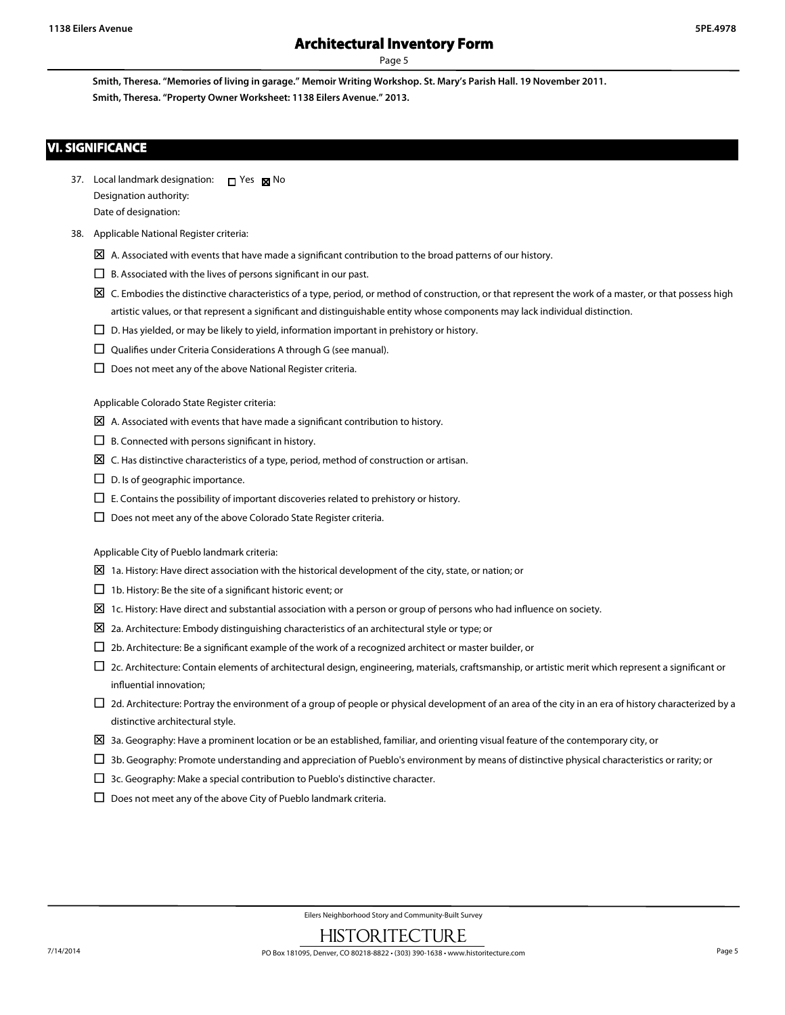Page 5

**Smith, Theresa. "Memories of living in garage." Memoir Writing Workshop. St. Mary's Parish Hall. 19 November 2011. Smith, Theresa. "Property Owner Worksheet: 1138 Eilers Avenue." 2013.**

## **VI. SIGNIFICANCE**

37. Local landmark designation:  $\Box$  Yes  $\boxtimes$  No Designation authority: Date of designation:

#### 38. Applicable National Register criteria:

- $\boxtimes$  A. Associated with events that have made a significant contribution to the broad patterns of our history.
- $\square$  B. Associated with the lives of persons significant in our past.
- $\boxtimes$  C. Embodies the distinctive characteristics of a type, period, or method of construction, or that represent the work of a master, or that possess high artistic values, or that represent a significant and distinguishable entity whose components may lack individual distinction.
- $\square$  D. Has yielded, or may be likely to yield, information important in prehistory or history.
- $\square$  Qualifies under Criteria Considerations A through G (see manual).
- $\square$  Does not meet any of the above National Register criteria.

Applicable Colorado State Register criteria:

- $\boxtimes$  A. Associated with events that have made a significant contribution to history.
- $\Box$  B. Connected with persons significant in history.
- $\boxtimes$  C. Has distinctive characteristics of a type, period, method of construction or artisan.
- $\square$  D. Is of geographic importance.
- $\square$  E. Contains the possibility of important discoveries related to prehistory or history.
- $\Box$  Does not meet any of the above Colorado State Register criteria.

Applicable City of Pueblo landmark criteria:

- $\boxtimes$  1a. History: Have direct association with the historical development of the city, state, or nation; or
- $\Box$  1b. History: Be the site of a significant historic event; or
- $\Sigma$  1c. History: Have direct and substantial association with a person or group of persons who had influence on society.
- $\Sigma$  2a. Architecture: Embody distinguishing characteristics of an architectural style or type; or
- $\square$  2b. Architecture: Be a significant example of the work of a recognized architect or master builder, or
- $\Box$  2c. Architecture: Contain elements of architectural design, engineering, materials, craftsmanship, or artistic merit which represent a significant or influential innovation;
- $\Box$  2d. Architecture: Portray the environment of a group of people or physical development of an area of the city in an era of history characterized by a distinctive architectural style.
- $\Sigma$  3a. Geography: Have a prominent location or be an established, familiar, and orienting visual feature of the contemporary city, or
- $\Box$  3b. Geography: Promote understanding and appreciation of Pueblo's environment by means of distinctive physical characteristics or rarity; or
- $\Box$  3c. Geography: Make a special contribution to Pueblo's distinctive character.
- $\square$  Does not meet any of the above City of Pueblo landmark criteria.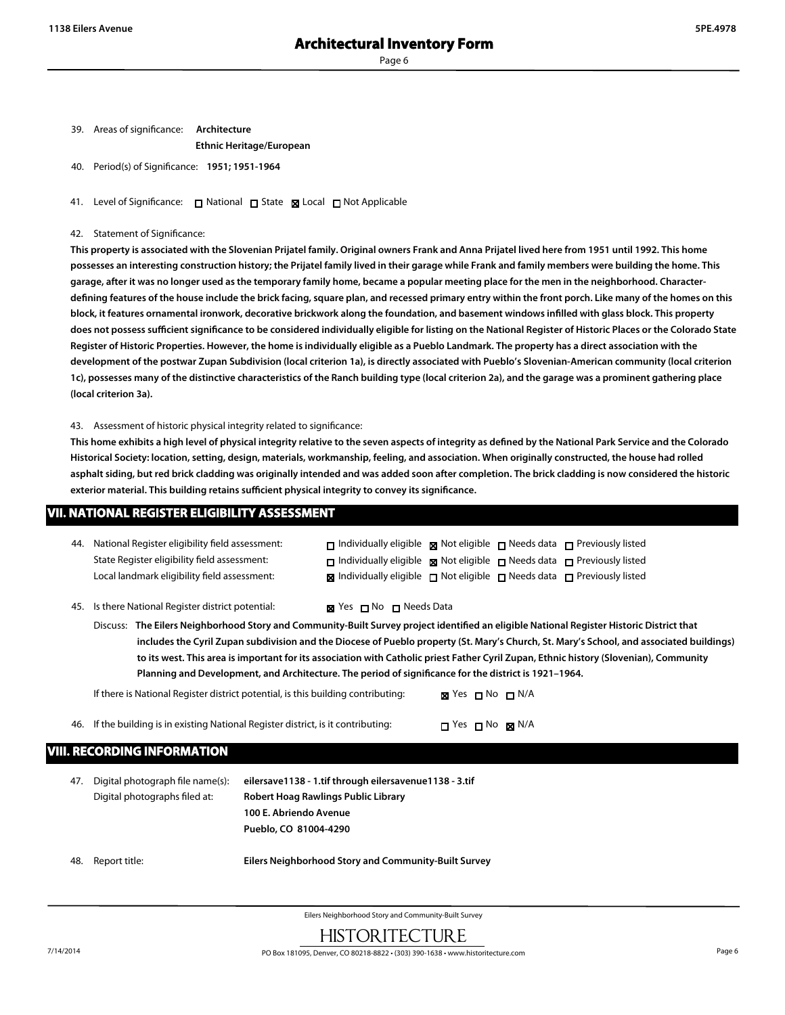| 39. | Areas of significance: | Architecture                    |
|-----|------------------------|---------------------------------|
|     |                        | <b>Ethnic Heritage/European</b> |

40. Period(s) of Significance: **1951; 1951-1964**

41. Level of Significance: □ National □ State 図 Local □ Not Applicable

#### 42. Statement of Significance:

**This property is associated with the Slovenian Prijatel family. Original owners Frank and Anna Prijatel lived here from 1951 until 1992. This home possesses an interesting construction history; the Prijatel family lived in their garage while Frank and family members were building the home. This garage, after it was no longer used as the temporary family home, became a popular meeting place for the men in the neighborhood. Characterdefining features of the house include the brick facing, square plan, and recessed primary entry within the front porch. Like many of the homes on this block, it features ornamental ironwork, decorative brickwork along the foundation, and basement windows infilled with glass block. This property does not possess sufficient significance to be considered individually eligible for listing on the National Register of Historic Places or the Colorado State Register of Historic Properties. However, the home is individually eligible as a Pueblo Landmark. The property has a direct association with the development of the postwar Zupan Subdivision (local criterion 1a), is directly associated with Pueblo's Slovenian-American community (local criterion 1c), possesses many of the distinctive characteristics of the Ranch building type (local criterion 2a), and the garage was a prominent gathering place (local criterion 3a).**

43. Assessment of historic physical integrity related to significance:

**This home exhibits a high level of physical integrity relative to the seven aspects of integrity as defined by the National Park Service and the Colorado Historical Society: location, setting, design, materials, workmanship, feeling, and association. When originally constructed, the house had rolled asphalt siding, but red brick cladding was originally intended and was added soon after completion. The brick cladding is now considered the historic exterior material. This building retains sufficient physical integrity to convey its significance.**

## **VII. NATIONAL REGISTER ELIGIBILITY ASSESSMENT**

| 44. | National Register eligibility field assessment:<br>State Register eligibility field assessment:<br>Local landmark eligibility field assessment:                                                                                                                                                                                                                                                                                                                                                                                          |                                                                                                                                                  |                         |                                      |  | $\Box$ Individually eligible $\Box$ Not eligible $\Box$ Needs data $\Box$ Previously listed<br>$\Box$ Individually eligible $\Box$ Not eligible $\Box$ Needs data $\Box$ Previously listed<br>$\boxtimes$ Individually eligible $\Box$ Not eligible $\Box$ Needs data $\Box$ Previously listed |
|-----|------------------------------------------------------------------------------------------------------------------------------------------------------------------------------------------------------------------------------------------------------------------------------------------------------------------------------------------------------------------------------------------------------------------------------------------------------------------------------------------------------------------------------------------|--------------------------------------------------------------------------------------------------------------------------------------------------|-------------------------|--------------------------------------|--|------------------------------------------------------------------------------------------------------------------------------------------------------------------------------------------------------------------------------------------------------------------------------------------------|
| 45. | Is there National Register district potential:                                                                                                                                                                                                                                                                                                                                                                                                                                                                                           |                                                                                                                                                  | ⊠ Yes □ No □ Needs Data |                                      |  |                                                                                                                                                                                                                                                                                                |
|     | Discuss: The Eilers Neighborhood Story and Community-Built Survey project identified an eligible National Register Historic District that<br>includes the Cyril Zupan subdivision and the Diocese of Pueblo property (St. Mary's Church, St. Mary's School, and associated buildings)<br>to its west. This area is important for its association with Catholic priest Father Cyril Zupan, Ethnic history (Slovenian), Community<br>Planning and Development, and Architecture. The period of significance for the district is 1921-1964. |                                                                                                                                                  |                         |                                      |  |                                                                                                                                                                                                                                                                                                |
|     | If there is National Register district potential, is this building contributing:                                                                                                                                                                                                                                                                                                                                                                                                                                                         |                                                                                                                                                  |                         | <b>⊠</b> Yes $\Box$ No $\Box$ N/A    |  |                                                                                                                                                                                                                                                                                                |
| 46. | If the building is in existing National Register district, is it contributing:                                                                                                                                                                                                                                                                                                                                                                                                                                                           |                                                                                                                                                  |                         | $\Box$ Yes $\Box$ No $\boxtimes$ N/A |  |                                                                                                                                                                                                                                                                                                |
|     | VIII. RECORDING INFORMATION                                                                                                                                                                                                                                                                                                                                                                                                                                                                                                              |                                                                                                                                                  |                         |                                      |  |                                                                                                                                                                                                                                                                                                |
| 47. | Digital photograph file name(s):<br>Digital photographs filed at:                                                                                                                                                                                                                                                                                                                                                                                                                                                                        | eilersave1138 - 1.tif through eilersavenue1138 - 3.tif<br>Robert Hoag Rawlings Public Library<br>100 E. Abriendo Avenue<br>Pueblo, CO 81004-4290 |                         |                                      |  |                                                                                                                                                                                                                                                                                                |

48. Report title: **Eilers Neighborhood Story and Community-Built Survey**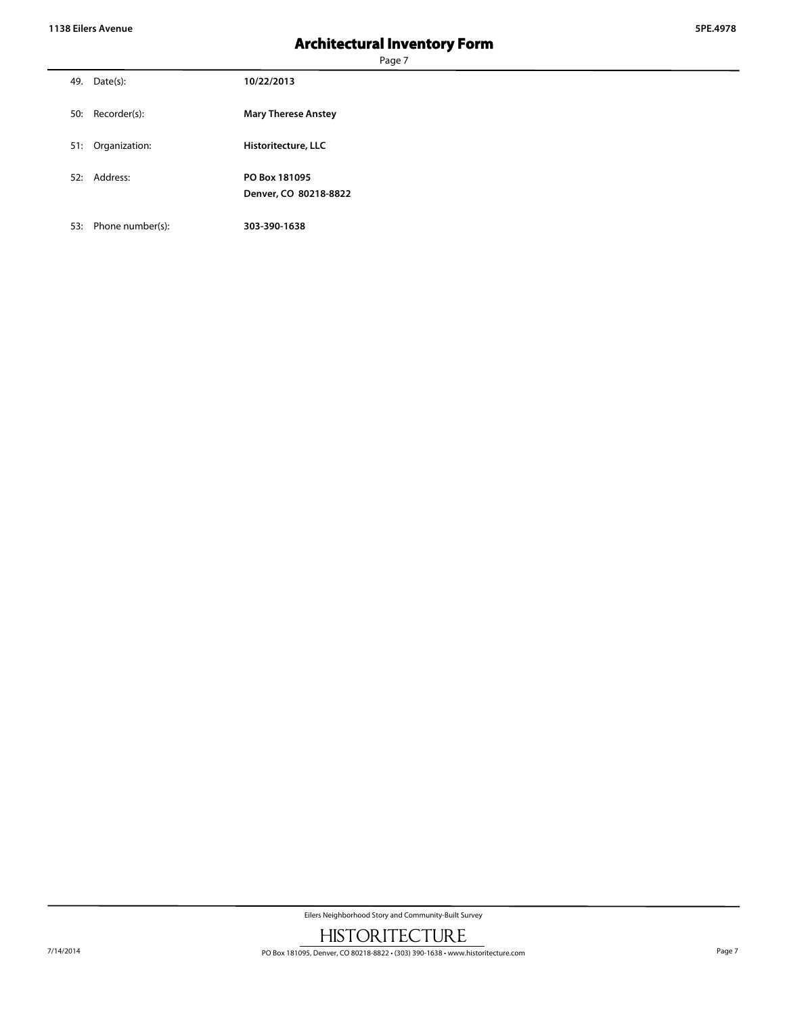Page 7

| 49. | Date(s):      | 10/22/2013                             |
|-----|---------------|----------------------------------------|
| 50: | Recorder(s):  | <b>Mary Therese Anstey</b>             |
| 51: | Organization: | Historitecture, LLC                    |
|     | 52: Address:  | PO Box 181095<br>Denver, CO 80218-8822 |

53: Phone number(s): **303-390-1638**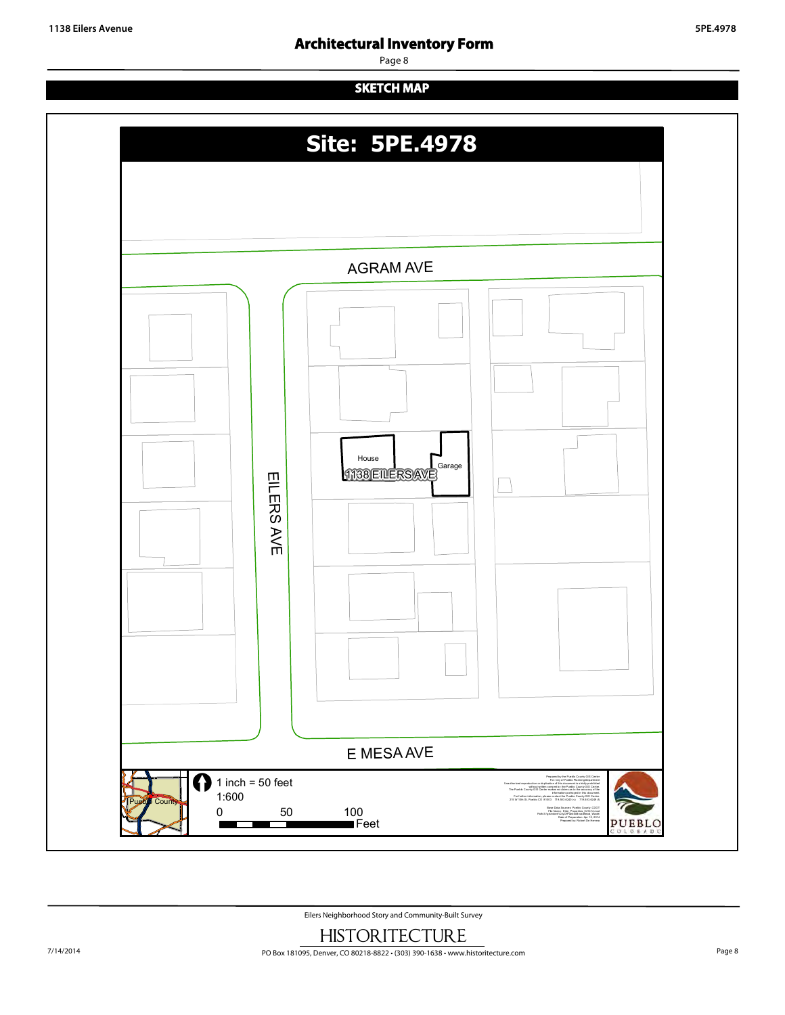Page 8

# **SKETCH MAP**